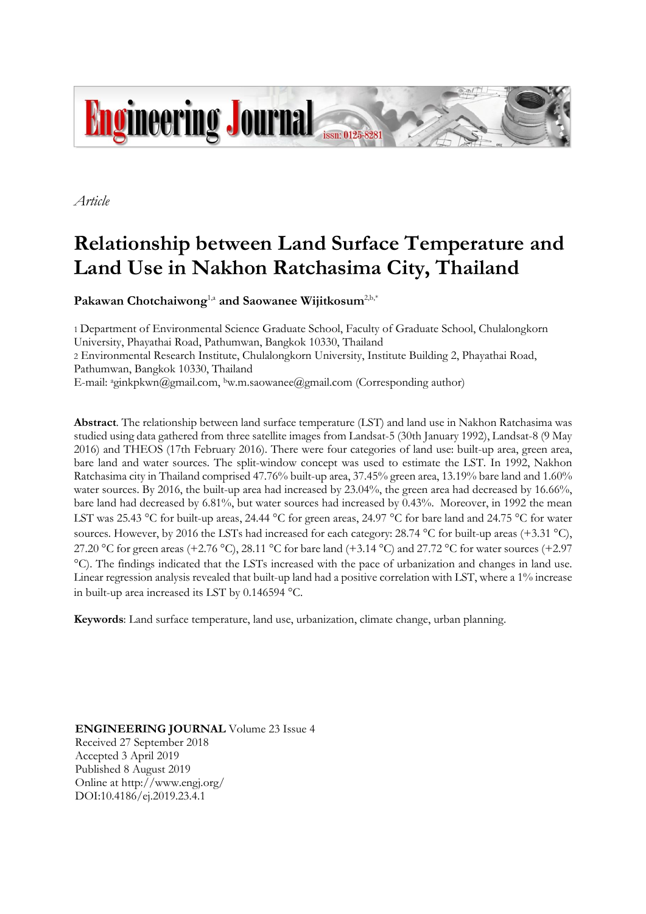

*Article*

# **Relationship between Land Surface Temperature and Land Use in Nakhon Ratchasima City, Thailand**

Pakawan Chotchaiwong<sup>1,a</sup> and Saowanee Wijitkosum<sup>2,b,\*</sup>

1 Department of Environmental Science Graduate School, Faculty of Graduate School, Chulalongkorn University, Phayathai Road, Pathumwan, Bangkok 10330, Thailand 2 Environmental Research Institute, Chulalongkorn University, Institute Building 2, Phayathai Road, Pathumwan, Bangkok 10330, Thailand E-mail: <sup>a</sup>ginkpkwn@gmail.com, <sup>b</sup>w.m.saowanee@gmail.com (Corresponding author)

**Abstract**. The relationship between land surface temperature (LST) and land use in Nakhon Ratchasima was studied using data gathered from three satellite images from Landsat-5 (30th January 1992), Landsat-8 (9 May 2016) and THEOS (17th February 2016). There were four categories of land use: built-up area, green area, bare land and water sources. The split-window concept was used to estimate the LST. In 1992, Nakhon Ratchasima city in Thailand comprised 47.76% built-up area, 37.45% green area, 13.19% bare land and 1.60% water sources. By 2016, the built-up area had increased by 23.04%, the green area had decreased by 16.66%, bare land had decreased by 6.81%, but water sources had increased by 0.43%. Moreover, in 1992 the mean LST was 25.43 °C for built-up areas, 24.44 °C for green areas, 24.97 °C for bare land and 24.75 °C for water sources. However, by 2016 the LSTs had increased for each category: 28.74 °C for built-up areas (+3.31 °C), 27.20 °C for green areas (+2.76 °C), 28.11 °C for bare land (+3.14 °C) and 27.72 °C for water sources (+2.97 C). The findings indicated that the LSTs increased with the pace of urbanization and changes in land use. Linear regression analysis revealed that built-up land had a positive correlation with LST, where a 1% increase in built-up area increased its LST by 0.146594 C.

**Keywords**: Land surface temperature, land use, urbanization, climate change, urban planning.

**ENGINEERING JOURNAL** Volume 23 Issue 4 Received 27 September 2018 Accepted 3 April 2019 Published 8 August 2019 Online at http://www.engj.org/ DOI:10.4186/ej.2019.23.4.1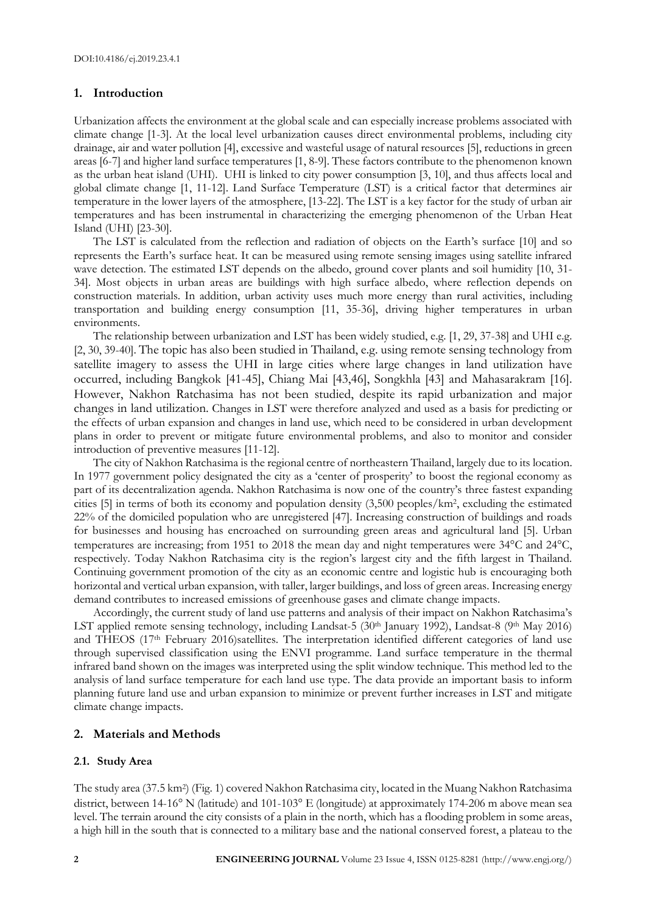## **1. Introduction**

Urbanization affects the environment at the global scale and can especially increase problems associated with climate change [1-3]. At the local level urbanization causes direct environmental problems, including city drainage, air and water pollution [4], excessive and wasteful usage of natural resources [5], reductions in green areas [6-7] and higher land surface temperatures [1, 8-9]. These factors contribute to the phenomenon known as the urban heat island (UHI). UHI is linked to city power consumption [3, 10], and thus affects local and global climate change [1, 11-12]. Land Surface Temperature (LST) is a critical factor that determines air temperature in the lower layers of the atmosphere, [13-22]. The LST is a key factor for the study of urban air temperatures and has been instrumental in characterizing the emerging phenomenon of the Urban Heat Island (UHI) [23-30].

The LST is calculated from the reflection and radiation of objects on the Earth's surface [10] and so represents the Earth's surface heat. It can be measured using remote sensing images using satellite infrared wave detection. The estimated LST depends on the albedo, ground cover plants and soil humidity [10, 31- 34]. Most objects in urban areas are buildings with high surface albedo, where reflection depends on construction materials. In addition, urban activity uses much more energy than rural activities, including transportation and building energy consumption [11, 35-36], driving higher temperatures in urban environments.

The relationship between urbanization and LST has been widely studied, e.g. [1, 29, 37-38] and UHI e.g. [2, 30, 39-40]. The topic has also been studied in Thailand, e.g. using remote sensing technology from satellite imagery to assess the UHI in large cities where large changes in land utilization have occurred, including Bangkok [41-45], Chiang Mai [43,46], Songkhla [43] and Mahasarakram [16]. However, Nakhon Ratchasima has not been studied, despite its rapid urbanization and major changes in land utilization. Changes in LST were therefore analyzed and used as a basis for predicting or the effects of urban expansion and changes in land use, which need to be considered in urban development plans in order to prevent or mitigate future environmental problems, and also to monitor and consider introduction of preventive measures [11-12].

The city of Nakhon Ratchasima is the regional centre of northeastern Thailand, largely due to its location. In 1977 government policy designated the city as a 'center of prosperity' to boost the regional economy as part of its decentralization agenda. Nakhon Ratchasima is now one of the country's three fastest expanding cities [5] in terms of both its economy and population density (3,500 peoples/km<sup>2</sup> , excluding the estimated 22% of the domiciled population who are unregistered [47]. Increasing construction of buildings and roads for businesses and housing has encroached on surrounding green areas and agricultural land [5]. Urban temperatures are increasing; from 1951 to 2018 the mean day and night temperatures were 34°C and 24°C. respectively. Today Nakhon Ratchasima city is the region's largest city and the fifth largest in Thailand. Continuing government promotion of the city as an economic centre and logistic hub is encouraging both horizontal and vertical urban expansion, with taller, larger buildings, and loss of green areas. Increasing energy demand contributes to increased emissions of greenhouse gases and climate change impacts.

Accordingly, the current study of land use patterns and analysis of their impact on Nakhon Ratchasima's LST applied remote sensing technology, including Landsat-5 (30th January 1992), Landsat-8 (9th May 2016) and THEOS (17<sup>th</sup> February 2016)satellites. The interpretation identified different categories of land use through supervised classification using the ENVI programme. Land surface temperature in the thermal infrared band shown on the images was interpreted using the split window technique. This method led to the analysis of land surface temperature for each land use type. The data provide an important basis to inform planning future land use and urban expansion to minimize or prevent further increases in LST and mitigate climate change impacts.

# **2. Materials and Methods**

## **2**.**1. Study Area**

The study area (37.5 km<sup>2</sup> ) (Fig. 1) covered Nakhon Ratchasima city, located in the Muang Nakhon Ratchasima district, between  $14{\text -}16^{\circ}$  N (latitude) and  $101{\text -}103^{\circ}$  E (longitude) at approximately 174-206 m above mean sea level. The terrain around the city consists of a plain in the north, which has a flooding problem in some areas, a high hill in the south that is connected to a military base and the national conserved forest, a plateau to the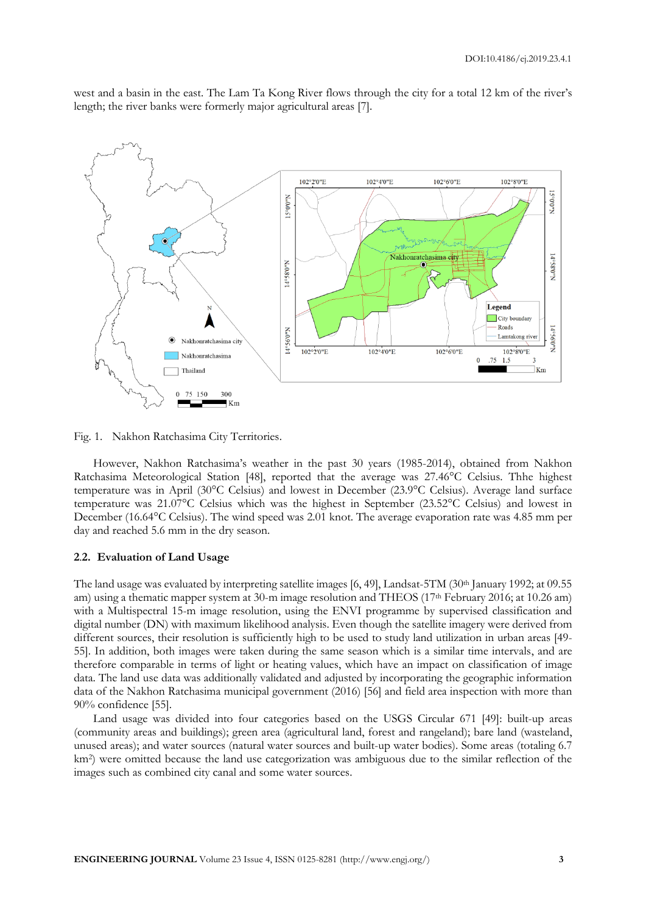west and a basin in the east. The Lam Ta Kong River flows through the city for a total 12 km of the river's length; the river banks were formerly major agricultural areas [7].



Fig. 1. Nakhon Ratchasima City Territories.

However, Nakhon Ratchasima's weather in the past 30 years (1985-2014), obtained from Nakhon Ratchasima Meteorological Station [48], reported that the average was 27.46°C Celsius. Thhe highest temperature was in April (30°C Celsius) and lowest in December (23.9°C Celsius). Average land surface temperature was 21.07°C Celsius which was the highest in September (23.52°C Celsius) and lowest in December (16.64°C Celsius). The wind speed was 2.01 knot. The average evaporation rate was 4.85 mm per day and reached 5.6 mm in the dry season.

#### **2**.**2. Evaluation of Land Usage**

The land usage was evaluated by interpreting satellite images [6, 49], Landsat-5TM (30<sup>th</sup> January 1992; at 09.55 am) using a thematic mapper system at 30-m image resolution and THEOS (17th February 2016; at 10.26 am) with a Multispectral 15-m image resolution, using the ENVI programme by supervised classification and digital number (DN) with maximum likelihood analysis. Even though the satellite imagery were derived from different sources, their resolution is sufficiently high to be used to study land utilization in urban areas [49-55]. In addition, both images were taken during the same season which is a similar time intervals, and are therefore comparable in terms of light or heating values, which have an impact on classification of image data. The land use data was additionally validated and adjusted by incorporating the geographic information data of the Nakhon Ratchasima municipal government (2016) [56] and field area inspection with more than 90% confidence [55].

Land usage was divided into four categories based on the USGS Circular 671 [49]: built-up areas (community areas and buildings); green area (agricultural land, forest and rangeland); bare land (wasteland, unused areas); and water sources (natural water sources and built-up water bodies). Some areas (totaling 6.7 km<sup>2</sup> ) were omitted because the land use categorization was ambiguous due to the similar reflection of the images such as combined city canal and some water sources.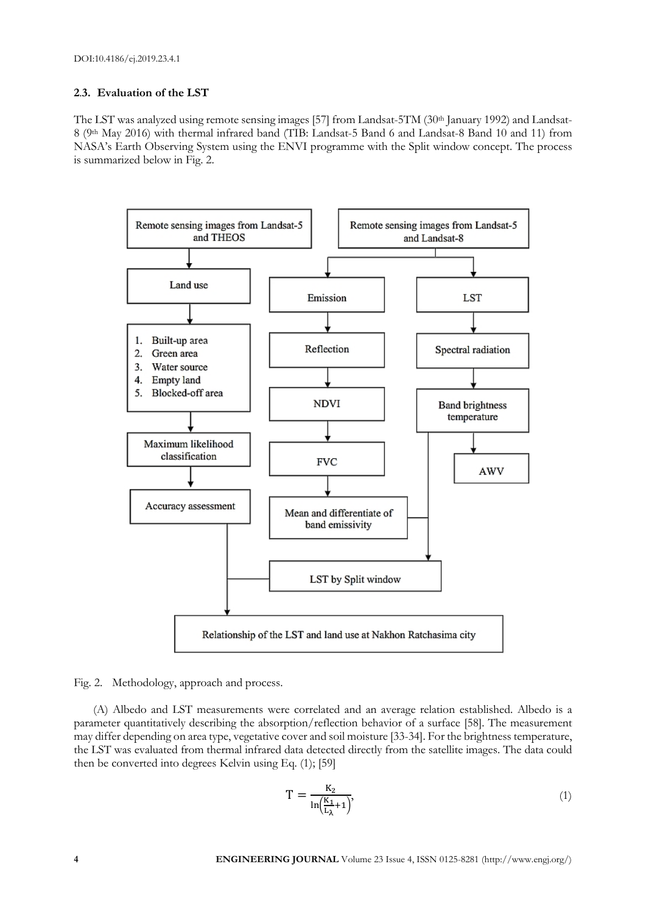# **2**.**3. Evaluation of the LST**

The LST was analyzed using remote sensing images [57] from Landsat-5TM (30th January 1992) and Landsat-8 (9th May 2016) with thermal infrared band (TIB: Landsat-5 Band 6 and Landsat-8 Band 10 and 11) from NASA's Earth Observing System using the ENVI programme with the Split window concept. The process is summarized below in Fig. 2.



Fig. 2. Methodology, approach and process.

(A) Albedo and LST measurements were correlated and an average relation established. Albedo is a parameter quantitatively describing the absorption/reflection behavior of a surface [58]. The measurement may differ depending on area type, vegetative cover and soil moisture [33-34]. For the brightness temperature, the LST was evaluated from thermal infrared data detected directly from the satellite images. The data could then be converted into degrees Kelvin using Eq. (1); [59]

$$
T = \frac{K_2}{\ln(\frac{K_1}{L_\lambda} + 1)},\tag{1}
$$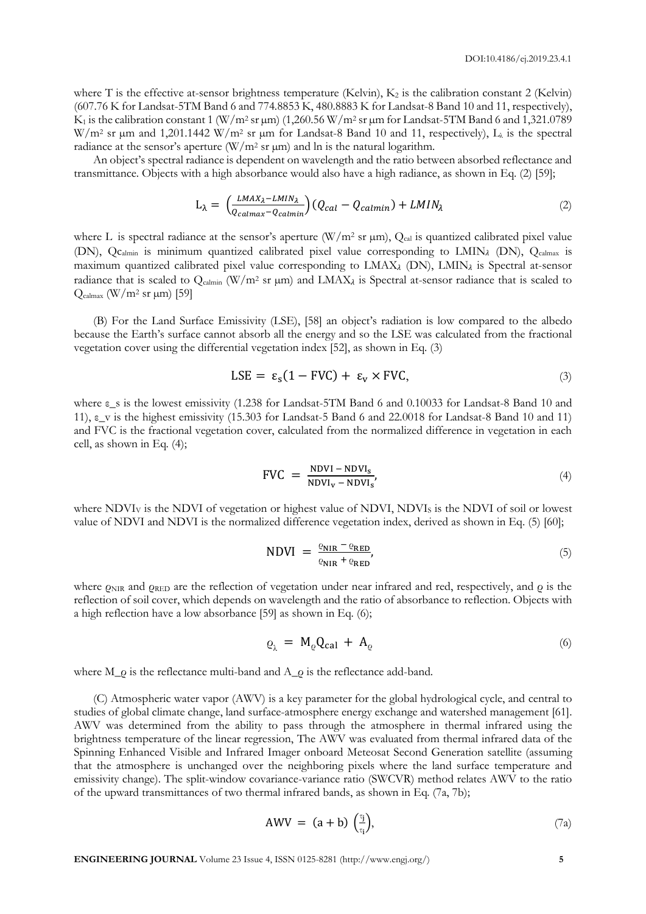where T is the effective at-sensor brightness temperature (Kelvin),  $K_2$  is the calibration constant 2 (Kelvin) (607.76 K for Landsat-5TM Band 6 and 774.8853 K, 480.8883 K for Landsat-8 Band 10 and 11, respectively),  $K_1$  is the calibration constant 1 (W/m<sup>2</sup> sr  $\mu$ m) (1,260.56 W/m<sup>2</sup> sr  $\mu$ m for Landsat-5TM Band 6 and 1,321.0789 W/m<sup>2</sup> sr µm and 1,201.1442 W/m<sup>2</sup> sr µm for Landsat-8 Band 10 and 11, respectively),  $L<sub>\lambda</sub>$  is the spectral radiance at the sensor's aperture  $(W/m^2 \text{ sr } \mu\text{m})$  and ln is the natural logarithm.

An object's spectral radiance is dependent on wavelength and the ratio between absorbed reflectance and transmittance. Objects with a high absorbance would also have a high radiance, as shown in Eq. (2) [59];

$$
L_{\lambda} = \left(\frac{LMAX_{\lambda} - LMIN_{\lambda}}{Q_{calmax} - Q_{calmin}}\right) \left(Q_{cal} - Q_{calmin}\right) + LMIN_{\lambda}
$$
\n(2)

where L is spectral radiance at the sensor's aperture (W/m<sup>2</sup> sr  $\mu$ m), Q<sub>cal</sub> is quantized calibrated pixel value (DN), Qc<sub>almin</sub> is minimum quantized calibrated pixel value corresponding to LMIN<sub>A</sub> (DN), Qcalmax is maximum quantized calibrated pixel value corresponding to  $LMAX<sub>λ</sub>$  (DN),  $LMIN<sub>λ</sub>$  is Spectral at-sensor radiance that is scaled to  $Q_{\text{calmin}}$  (W/m<sup>2</sup> sr  $\mu$ m) and LMAX<sub>4</sub> is Spectral at-sensor radiance that is scaled to  $Q_{\text{calmax}}$  (W/m<sup>2</sup> sr  $\mu$ m) [59]

(B) For the Land Surface Emissivity (LSE), [58] an object's radiation is low compared to the albedo because the Earth's surface cannot absorb all the energy and so the LSE was calculated from the fractional vegetation cover using the differential vegetation index [52], as shown in Eq. (3)

$$
LSE = \varepsilon_{s}(1 - FVC) + \varepsilon_{v} \times FVC,
$$
\n(3)

where ε\_s is the lowest emissivity (1.238 for Landsat-5TM Band 6 and 0.10033 for Landsat-8 Band 10 and 11), ε\_v is the highest emissivity (15.303 for Landsat-5 Band 6 and 22.0018 for Landsat-8 Band 10 and 11) and FVC is the fractional vegetation cover, calculated from the normalized difference in vegetation in each cell, as shown in Eq. (4);

$$
FVC = \frac{NDVI - NDVI_s}{NDVI_v - NDVI_s},
$$
\n(4)

where NDVI<sub>V</sub> is the NDVI of vegetation or highest value of NDVI, NDVI<sub>S</sub> is the NDVI of soil or lowest value of NDVI and NDVI is the normalized difference vegetation index, derived as shown in Eq. (5) [60];

$$
NDVI = \frac{\varrho_{NIR} - \varrho_{RED}}{\varrho_{NIR} + \varrho_{RED}},\tag{5}
$$

where  $\rho_{\text{NIR}}$  and  $\rho_{\text{RED}}$  are the reflection of vegetation under near infrared and red, respectively, and  $\rho$  is the reflection of soil cover, which depends on wavelength and the ratio of absorbance to reflection. Objects with a high reflection have a low absorbance [59] as shown in Eq. (6);

$$
\varrho_{\lambda} = M_{\varrho} Q_{\text{cal}} + A_{\varrho} \tag{6}
$$

where M\_ρ is the reflectance multi-band and A\_ρ is the reflectance add-band.

(C) Atmospheric water vapor (AWV) is a key parameter for the global hydrological cycle, and central to studies of global climate change, land surface-atmosphere energy exchange and watershed management [61]. AWV was determined from the ability to pass through the atmosphere in thermal infrared using the brightness temperature of the linear regression, The AWV was evaluated from thermal infrared data of the Spinning Enhanced Visible and Infrared Imager onboard Meteosat Second Generation satellite (assuming that the atmosphere is unchanged over the neighboring pixels where the land surface temperature and emissivity change). The split-window covariance-variance ratio (SWCVR) method relates AWV to the ratio of the upward transmittances of two thermal infrared bands, as shown in Eq. (7a, 7b);

$$
AWV = (a + b) \left(\frac{\tau_i}{\tau_i}\right), \tag{7a}
$$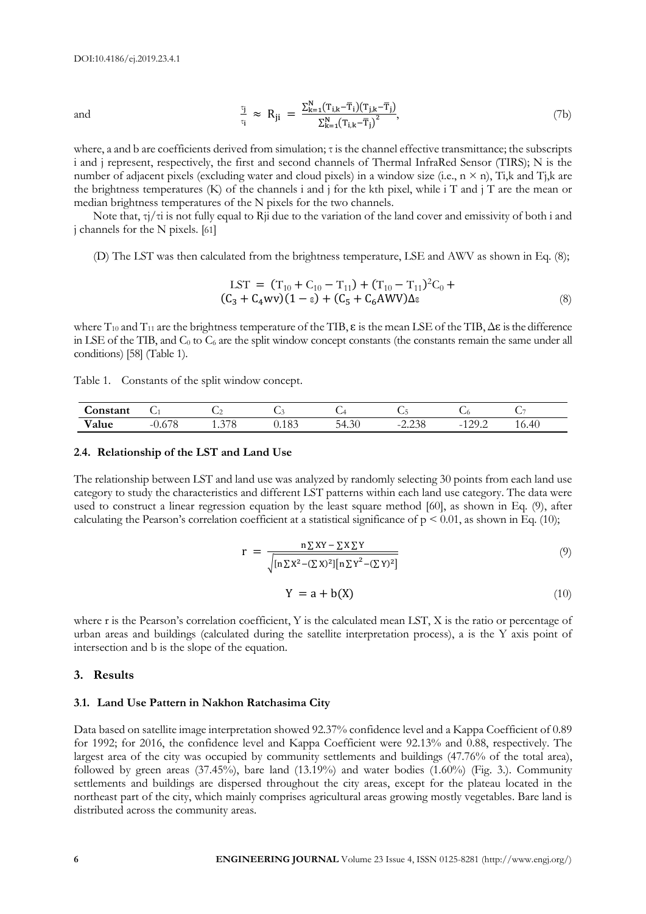and 
$$
\frac{\tau_{j}}{\tau_{i}} \approx R_{ji} = \frac{\sum_{k=1}^{N} (T_{i,k} - \overline{T}_{i})(T_{j,k} - \overline{T}_{j})}{\sum_{k=1}^{N} (T_{i,k} - \overline{T}_{j})^{2}},
$$
(7b)

where, a and b are coefficients derived from simulation; τ is the channel effective transmittance; the subscripts i and j represent, respectively, the first and second channels of Thermal InfraRed Sensor (TIRS); N is the number of adjacent pixels (excluding water and cloud pixels) in a window size (i.e.,  $n \times n$ ), Ti,k and Tj,k are the brightness temperatures (K) of the channels i and j for the kth pixel, while i T and j T are the mean or median brightness temperatures of the N pixels for the two channels.

Note that, τj/τi is not fully equal to Rji due to the variation of the land cover and emissivity of both i and j channels for the N pixels. [61]

(D) The LST was then calculated from the brightness temperature, LSE and AWV as shown in Eq. (8);

$$
LST = (T_{10} + C_{10} - T_{11}) + (T_{10} - T_{11})^2 C_0 + (C_3 + C_4 wv)(1 - \epsilon) + (C_5 + C_6 A Wv) \Delta \epsilon
$$
\n(8)

where  $T_{10}$  and  $T_{11}$  are the brightness temperature of the TIB,  $\varepsilon$  is the mean LSE of the TIB,  $\Delta \varepsilon$  is the difference in LSE of the TIB, and  $C_0$  to  $C_6$  are the split window concept constants (the constants remain the same under all conditions) [58] (Table 1).

| Table 1. Constants of the split window concept. |  |  |  |  |  |  |
|-------------------------------------------------|--|--|--|--|--|--|
|-------------------------------------------------|--|--|--|--|--|--|

| onstant    | ◡                                                          | ◡        | $\sim$ | ءت              | $\sim$           | () ب                            | ີ     |
|------------|------------------------------------------------------------|----------|--------|-----------------|------------------|---------------------------------|-------|
| --<br>alue | $\overline{\phantom{0}}$<br>- 1<br>$J_{\bullet}U$ /<br>. . | 7 U<br>. | U.IOJ  | $\sim$<br>34.3U | $\sim$<br>.2.290 | $\cap$<br>-<br>$1 \overline{2}$ | 16.40 |

#### **2**.**4. Relationship of the LST and Land Use**

The relationship between LST and land use was analyzed by randomly selecting 30 points from each land use category to study the characteristics and different LST patterns within each land use category. The data were used to construct a linear regression equation by the least square method [60], as shown in Eq. (9), after calculating the Pearson's correlation coefficient at a statistical significance of  $p < 0.01$ , as shown in Eq. (10);

$$
r = \frac{n \sum XY - \sum X \sum Y}{\sqrt{[n \sum X^2 - (\sum X)^2][n \sum Y^2 - (\sum Y)^2]}}
$$
\n(9)

$$
Y = a + b(X) \tag{10}
$$

where r is the Pearson's correlation coefficient, Y is the calculated mean LST, X is the ratio or percentage of urban areas and buildings (calculated during the satellite interpretation process), a is the Y axis point of intersection and b is the slope of the equation.

#### **3. Results**

#### **3**.**1. Land Use Pattern in Nakhon Ratchasima City**

Data based on satellite image interpretation showed 92.37% confidence level and a Kappa Coefficient of 0.89 for 1992; for 2016, the confidence level and Kappa Coefficient were 92.13% and 0.88, respectively. The largest area of the city was occupied by community settlements and buildings (47.76% of the total area), followed by green areas  $(37.45\%)$ , bare land  $(13.19\%)$  and water bodies  $(1.60\%)$  (Fig. 3.). Community settlements and buildings are dispersed throughout the city areas, except for the plateau located in the northeast part of the city, which mainly comprises agricultural areas growing mostly vegetables. Bare land is distributed across the community areas.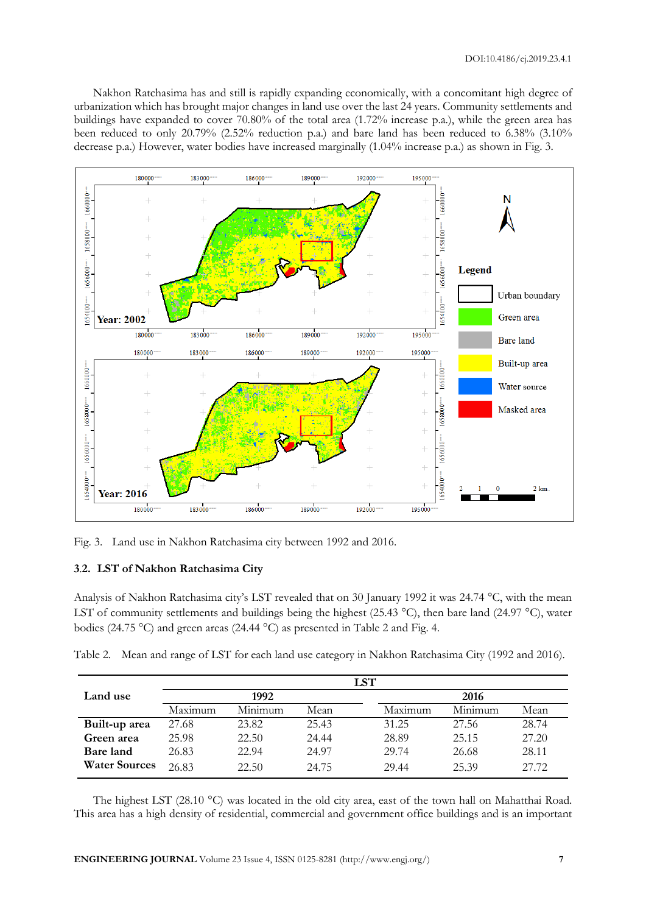Nakhon Ratchasima has and still is rapidly expanding economically, with a concomitant high degree of urbanization which has brought major changes in land use over the last 24 years. Community settlements and buildings have expanded to cover 70.80% of the total area (1.72% increase p.a.), while the green area has been reduced to only 20.79% (2.52% reduction p.a.) and bare land has been reduced to 6.38% (3.10% decrease p.a.) However, water bodies have increased marginally (1.04% increase p.a.) as shown in Fig. 3.



Fig. 3. Land use in Nakhon Ratchasima city between 1992 and 2016.

# **3**.**2. LST of Nakhon Ratchasima City**

Analysis of Nakhon Ratchasima city's LST revealed that on 30 January 1992 it was 24.74 °C, with the mean LST of community settlements and buildings being the highest (25.43 °C), then bare land (24.97 °C), water bodies (24.75 °C) and green areas (24.44 °C) as presented in Table 2 and Fig. 4.

Table 2. Mean and range of LST for each land use category in Nakhon Ratchasima City (1992 and 2016).

|                      | LST     |         |       |         |         |       |  |
|----------------------|---------|---------|-------|---------|---------|-------|--|
| Land use             |         | 1992    |       |         |         |       |  |
|                      | Maximum | Minimum | Mean  | Maximum | Minimum | Mean  |  |
| Built-up area        | 27.68   | 23.82   | 25.43 | 31.25   | 27.56   | 28.74 |  |
| Green area           | 25.98   | 22.50   | 24.44 | 28.89   | 25.15   | 27.20 |  |
| Bare land            | 26.83   | 22.94   | 24.97 | 29.74   | 26.68   | 28.11 |  |
| <b>Water Sources</b> | 26.83   | 22.50   | 24.75 | 29.44   | 25.39   | 27.72 |  |

The highest LST (28.10  $^{\circ}$ C) was located in the old city area, east of the town hall on Mahatthai Road. This area has a high density of residential, commercial and government office buildings and is an important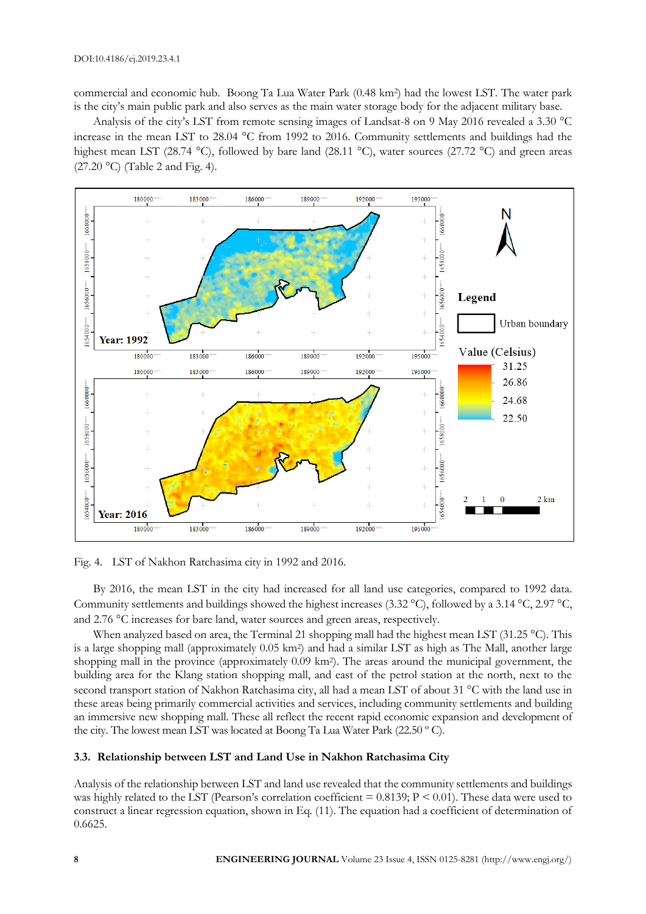commercial and economic hub. Boong Ta Lua Water Park (0.48 km<sup>2</sup> ) had the lowest LST. The water park is the city's main public park and also serves as the main water storage body for the adjacent military base.

Analysis of the city's LST from remote sensing images of Landsat-8 on 9 May 2016 revealed a 3.30 °C increase in the mean LST to 28.04 °C from 1992 to 2016. Community settlements and buildings had the highest mean LST (28.74 °C), followed by bare land (28.11 °C), water sources (27.72 °C) and green areas  $(27.20 \degree C)$  (Table 2 and Fig. 4).



Fig. 4. LST of Nakhon Ratchasima city in 1992 and 2016.

By 2016, the mean LST in the city had increased for all land use categories, compared to 1992 data. Community settlements and buildings showed the highest increases (3.32 °C), followed by a 3.14 °C, 2.97 °C, and 2.76 °C increases for bare land, water sources and green areas, respectively.

When analyzed based on area, the Terminal 21 shopping mall had the highest mean LST (31.25 °C). This is a large shopping mall (approximately 0.05 km<sup>2</sup> ) and had a similar LST as high as The Mall, another large shopping mall in the province (approximately 0.09 km<sup>2</sup> ). The areas around the municipal government, the building area for the Klang station shopping mall, and east of the petrol station at the north, next to the second transport station of Nakhon Ratchasima city, all had a mean LST of about 31 °C with the land use in these areas being primarily commercial activities and services, including community settlements and building an immersive new shopping mall. These all reflect the recent rapid economic expansion and development of the city. The lowest mean LST was located at Boong Ta Lua Water Park (22.50 º C).

# **3**.**3. Relationship between LST and Land Use in Nakhon Ratchasima City**

Analysis of the relationship between LST and land use revealed that the community settlements and buildings was highly related to the LST (Pearson's correlation coefficient  $= 0.8139$ ;  $P < 0.01$ ). These data were used to construct a linear regression equation, shown in Eq. (11). The equation had a coefficient of determination of 0.6625.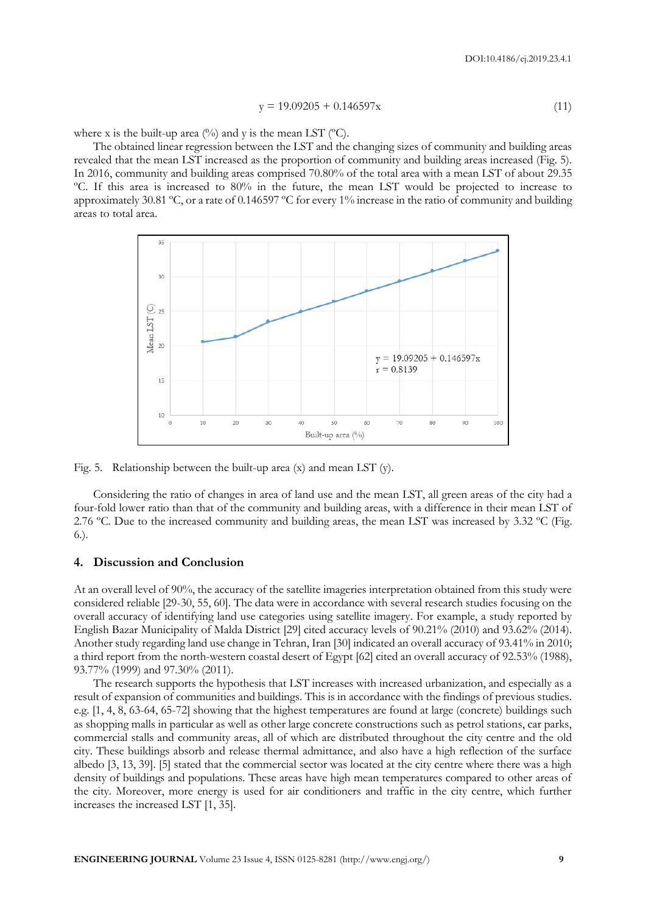$$
y = 19.09205 + 0.146597x \tag{11}
$$

where x is the built-up area  $\frac{1}{2}$  and y is the mean LST  $\frac{1}{2}$ .

The obtained linear regression between the LST and the changing sizes of community and building areas revealed that the mean LST increased as the proportion of community and building areas increased (Fig. 5). In 2016, community and building areas comprised 70.80% of the total area with a mean LST of about 29.35 ºC. If this area is increased to 80% in the future, the mean LST would be projected to increase to approximately 30.81 ºC, or a rate of 0.146597 ºC for every 1% increase in the ratio of community and building areas to total area.



Fig. 5. Relationship between the built-up area (x) and mean LST (y).

Considering the ratio of changes in area of land use and the mean LST, all green areas of the city had a four-fold lower ratio than that of the community and building areas, with a difference in their mean LST of 2.76 ºC. Due to the increased community and building areas, the mean LST was increased by 3.32 ºC (Fig. 6.).

## **4. Discussion and Conclusion**

At an overall level of 90%, the accuracy of the satellite imageries interpretation obtained from this study were considered reliable [29-30, 55, 60]. The data were in accordance with several research studies focusing on the overall accuracy of identifying land use categories using satellite imagery. For example, a study reported by English Bazar Municipality of Malda District [29] cited accuracy levels of 90.21% (2010) and 93.62% (2014). Another study regarding land use change in Tehran, Iran [30] indicated an overall accuracy of 93.41% in 2010; a third report from the north-western coastal desert of Egypt [62] cited an overall accuracy of 92.53% (1988), 93.77% (1999) and 97.30% (2011).

The research supports the hypothesis that LST increases with increased urbanization, and especially as a result of expansion of communities and buildings. This is in accordance with the findings of previous studies. e.g. [1, 4, 8, 63-64, 65-72] showing that the highest temperatures are found at large (concrete) buildings such as shopping malls in particular as well as other large concrete constructions such as petrol stations, car parks, commercial stalls and community areas, all of which are distributed throughout the city centre and the old city. These buildings absorb and release thermal admittance, and also have a high reflection of the surface albedo [3, 13, 39]. [5] stated that the commercial sector was located at the city centre where there was a high density of buildings and populations. These areas have high mean temperatures compared to other areas of the city. Moreover, more energy is used for air conditioners and traffic in the city centre, which further increases the increased LST [1, 35].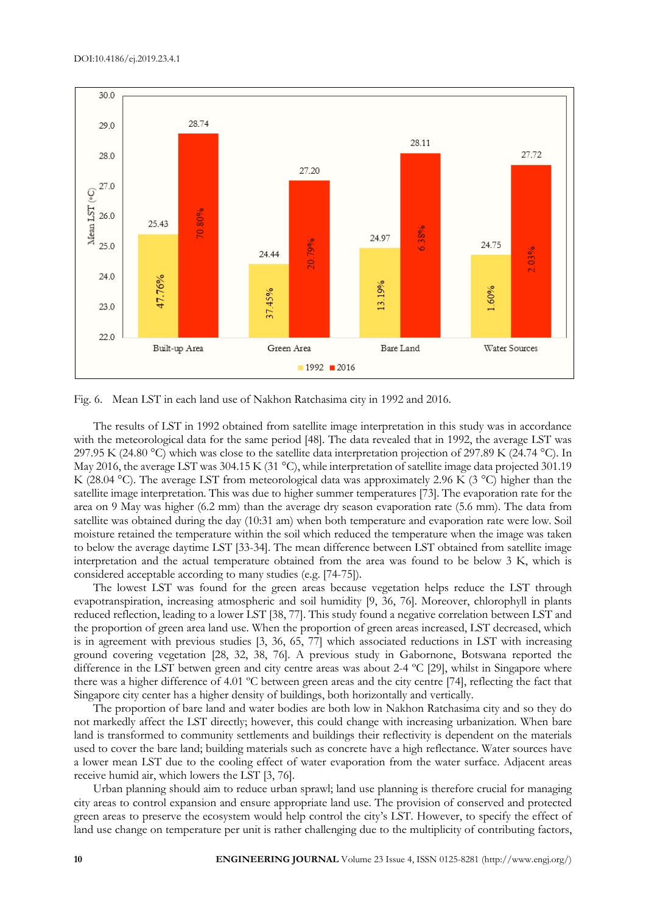

Fig. 6. Mean LST in each land use of Nakhon Ratchasima city in 1992 and 2016.

The results of LST in 1992 obtained from satellite image interpretation in this study was in accordance with the meteorological data for the same period [48]. The data revealed that in 1992, the average LST was 297.95 K (24.80 °C) which was close to the satellite data interpretation projection of 297.89 K (24.74 °C). In May 2016, the average LST was 304.15 K (31 °C), while interpretation of satellite image data projected 301.19 K (28.04 °C). The average LST from meteorological data was approximately 2.96 K (3 °C) higher than the satellite image interpretation. This was due to higher summer temperatures [73]. The evaporation rate for the area on 9 May was higher (6.2 mm) than the average dry season evaporation rate (5.6 mm). The data from satellite was obtained during the day (10:31 am) when both temperature and evaporation rate were low. Soil moisture retained the temperature within the soil which reduced the temperature when the image was taken to below the average daytime LST [33-34]. The mean difference between LST obtained from satellite image interpretation and the actual temperature obtained from the area was found to be below 3 K, which is considered acceptable according to many studies (e.g. [74-75]).

The lowest LST was found for the green areas because vegetation helps reduce the LST through evapotranspiration, increasing atmospheric and soil humidity [9, 36, 76]. Moreover, chlorophyll in plants reduced reflection, leading to a lower LST [38, 77]. This study found a negative correlation between LST and the proportion of green area land use. When the proportion of green areas increased, LST decreased, which is in agreement with previous studies [3, 36, 65, 77] which associated reductions in LST with increasing ground covering vegetation [28, 32, 38, 76]. A previous study in Gabornone, Botswana reported the difference in the LST betwen green and city centre areas was about 2-4 ºC [29], whilst in Singapore where there was a higher difference of 4.01 ºC between green areas and the city centre [74], reflecting the fact that Singapore city center has a higher density of buildings, both horizontally and vertically.

The proportion of bare land and water bodies are both low in Nakhon Ratchasima city and so they do not markedly affect the LST directly; however, this could change with increasing urbanization. When bare land is transformed to community settlements and buildings their reflectivity is dependent on the materials used to cover the bare land; building materials such as concrete have a high reflectance. Water sources have a lower mean LST due to the cooling effect of water evaporation from the water surface. Adjacent areas receive humid air, which lowers the LST [3, 76].

Urban planning should aim to reduce urban sprawl; land use planning is therefore crucial for managing city areas to control expansion and ensure appropriate land use. The provision of conserved and protected green areas to preserve the ecosystem would help control the city's LST. However, to specify the effect of land use change on temperature per unit is rather challenging due to the multiplicity of contributing factors,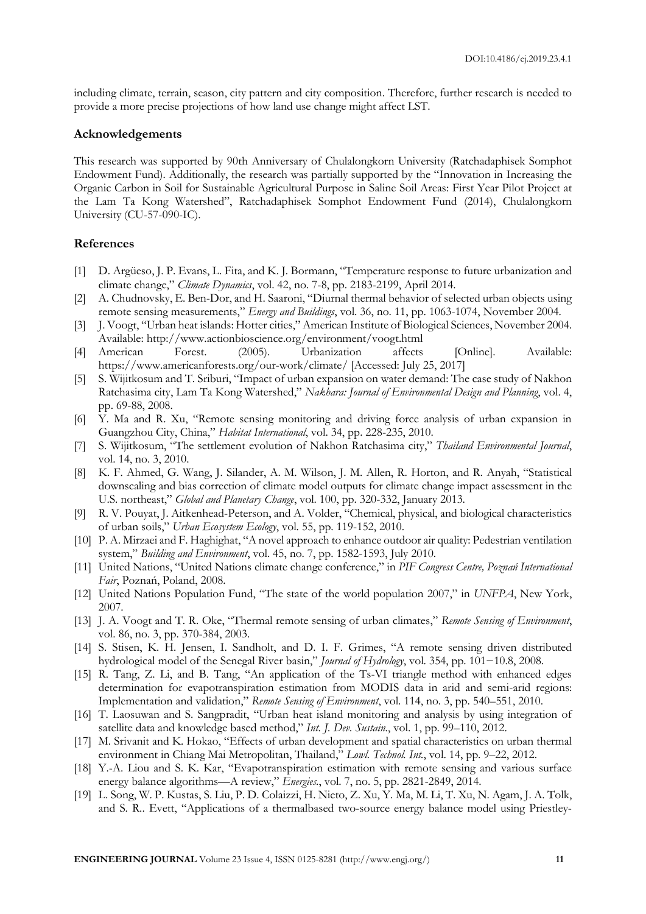including climate, terrain, season, city pattern and city composition. Therefore, further research is needed to provide a more precise projections of how land use change might affect LST.

#### **Acknowledgements**

This research was supported by 90th Anniversary of Chulalongkorn University (Ratchadaphisek Somphot Endowment Fund). Additionally, the research was partially supported by the "Innovation in Increasing the Organic Carbon in Soil for Sustainable Agricultural Purpose in Saline Soil Areas: First Year Pilot Project at the Lam Ta Kong Watershed", Ratchadaphisek Somphot Endowment Fund (2014), Chulalongkorn University (CU-57-090-IC).

## **References**

- [1] D. Argüeso, J. P. Evans, L. Fita, and K. J. Bormann, "Temperature response to future urbanization and climate change," *Climate Dynamics*, vol. 42, no. 7-8, pp. 2183-2199, April 2014.
- [2] A. Chudnovsky, E. Ben-Dor, and H. Saaroni, "Diurnal thermal behavior of selected urban objects using remote sensing measurements," *Energy and Buildings*, vol. 36, no. 11, pp. 1063-1074, November 2004.
- [3] J. Voogt, "Urban heat islands: Hotter cities," American Institute of Biological Sciences, November 2004. Available: http://www.actionbioscience.org/environment/voogt.html
- [4] American Forest. (2005). Urbanization affects [Online]. Available: https://www.americanforests.org/our-work/climate/ [Accessed: July 25, 2017]
- [5] S. Wijitkosum and T. Sriburi, "Impact of urban expansion on water demand: The case study of Nakhon Ratchasima city, Lam Ta Kong Watershed," *Nakhara: Journal of Environmental Design and Planning*, vol. 4, pp. 69-88, 2008.
- [6] Y. Ma and R. Xu, "Remote sensing monitoring and driving force analysis of urban expansion in Guangzhou City, China," *Habitat International*, vol. 34, pp. 228-235, 2010.
- [7] S. Wijitkosum, "The settlement evolution of Nakhon Ratchasima city," *Thailand Environmental Journal*, vol. 14, no. 3, 2010.
- [8] K. F. Ahmed, G. Wang, J. Silander, A. M. Wilson, J. M. Allen, R. Horton, and R. Anyah, "Statistical downscaling and bias correction of climate model outputs for climate change impact assessment in the U.S. northeast," *Global and Planetary Change*, vol. 100, pp. 320-332, January 2013.
- [9] R. V. Pouyat, J. Aitkenhead-Peterson, and A. Volder, "Chemical, physical, and biological characteristics of urban soils," *Urban Ecosystem Ecology*, vol. 55, pp. 119-152, 2010.
- [10] P. A. Mirzaei and F. Haghighat, "A novel approach to enhance outdoor air quality: Pedestrian ventilation system," *Building and Environment*, vol. 45, no. 7, pp. 1582-1593, July 2010.
- [11] United Nations, "United Nations climate change conference," in *PIF Congress Centre, Poznań International Fair*, Poznań, Poland, 2008.
- [12] United Nations Population Fund, "The state of the world population 2007," in *UNFPA*, New York, 2007.
- [13] J. A. Voogt and T. R. Oke, "Thermal remote sensing of urban climates," *Remote Sensing of Environment*, vol. 86, no. 3, pp. 370-384, 2003.
- [14] S. Stisen, K. H. Jensen, I. Sandholt, and D. I. F. Grimes, "A remote sensing driven distributed hydrological model of the Senegal River basin," *Journal of Hydrology*, vol. 354, pp. 101−10.8, 2008.
- [15] R. Tang, Z. Li, and B. Tang, "An application of the Ts-VI triangle method with enhanced edges determination for evapotranspiration estimation from MODIS data in arid and semi-arid regions: Implementation and validation," *Remote Sensing of Environment*, vol. 114, no. 3, pp. 540–551, 2010.
- [16] T. Laosuwan and S. Sangpradit, "Urban heat island monitoring and analysis by using integration of satellite data and knowledge based method," *Int. J. Dev. Sustain.*, vol. 1, pp. 99–110, 2012.
- [17] M. Srivanit and K. Hokao, "Effects of urban development and spatial characteristics on urban thermal environment in Chiang Mai Metropolitan, Thailand," *Lowl. Technol. Int.*, vol. 14, pp. 9–22, 2012.
- [18] Y.-A. Liou and S. K. Kar, "Evapotranspiration estimation with remote sensing and various surface energy balance algorithms—A review," *Energies.*, vol. 7, no. 5, pp. 2821-2849, 2014.
- [19] L. Song, W. P. Kustas, S. Liu, P. D. Colaizzi, H. Nieto, Z. Xu, Y. Ma, M. Li, T. Xu, N. Agam, J. A. Tolk, and S. R.. Evett, "Applications of a thermalbased two-source energy balance model using Priestley-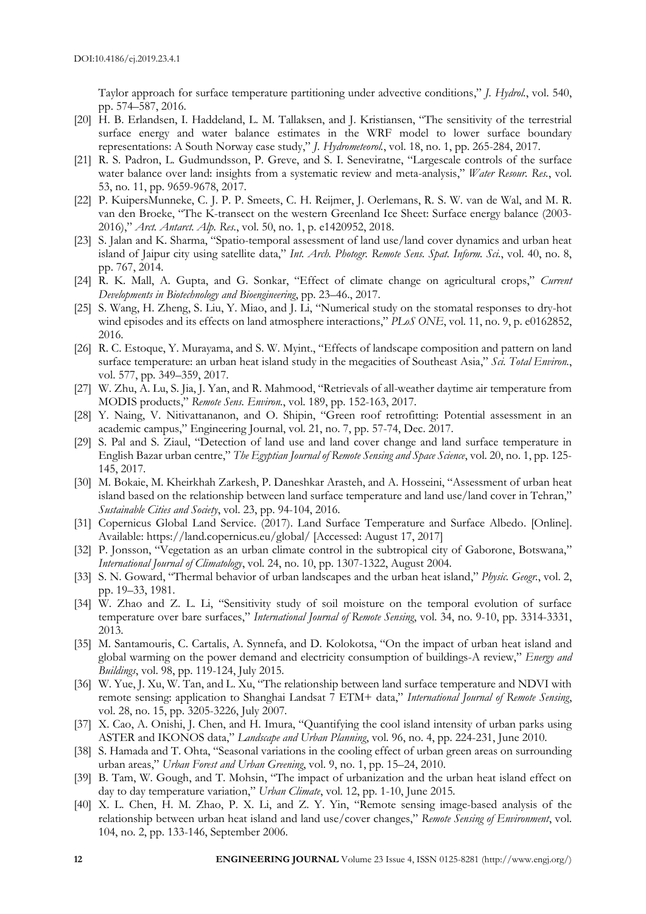Taylor approach for surface temperature partitioning under advective conditions," *J. Hydrol.*, vol. 540, pp. 574–587, 2016.

- [20] H. B. Erlandsen, I. Haddeland, L. M. Tallaksen, and J. Kristiansen, "The sensitivity of the terrestrial surface energy and water balance estimates in the WRF model to lower surface boundary representations: A South Norway case study," *J. Hydrometeorol.*, vol. 18, no. 1, pp. 265-284, 2017.
- [21] R. S. Padron, L. Gudmundsson, P. Greve, and S. I. Seneviratne, "Largescale controls of the surface water balance over land: insights from a systematic review and meta-analysis," *Water Resour. Res.*, vol. 53, no. 11, pp. 9659-9678, 2017.
- [22] P. KuipersMunneke, C. J. P. P. Smeets, C. H. Reijmer, J. Oerlemans, R. S. W. van de Wal, and M. R. van den Broeke, "The K-transect on the western Greenland Ice Sheet: Surface energy balance (2003- 2016)," *Arct. Antarct. Alp. Res.*, vol. 50, no. 1, p. e1420952, 2018.
- [23] S. Jalan and K. Sharma, "Spatio-temporal assessment of land use/land cover dynamics and urban heat island of Jaipur city using satellite data," *Int. Arch. Photogr. Remote Sens. Spat. Inform. Sci.*, vol. 40, no. 8, pp. 767, 2014.
- [24] R. K. Mall, A. Gupta, and G. Sonkar, "Effect of climate change on agricultural crops," *Current Developments in Biotechnology and Bioengineering*, pp. 23–46., 2017.
- [25] S. Wang, H. Zheng, S. Liu, Y. Miao, and J. Li, "Numerical study on the stomatal responses to dry-hot wind episodes and its effects on land atmosphere interactions," *PLoS ONE*, vol. 11, no. 9, p. e0162852, 2016.
- [26] R. C. Estoque, Y. Murayama, and S. W. Myint., "Effects of landscape composition and pattern on land surface temperature: an urban heat island study in the megacities of Southeast Asia," *Sci. Total Environ.*, vol. 577, pp. 349–359, 2017.
- [27] W. Zhu, A. Lu, S. Jia, J. Yan, and R. Mahmood, "Retrievals of all-weather daytime air temperature from MODIS products," *Remote Sens. Environ.*, vol. 189, pp. 152-163, 2017.
- [28] Y. Naing, V. Nitivattananon, and O. Shipin, "Green roof retrofitting: Potential assessment in an academic campus," Engineering Journal, vol. 21, no. 7, pp. 57-74, Dec. 2017.
- [29] S. Pal and S. Ziaul, "Detection of land use and land cover change and land surface temperature in English Bazar urban centre," *The Egyptian Journal of Remote Sensing and Space Science*, vol. 20, no. 1, pp. 125- 145, 2017.
- [30] M. Bokaie, M. Kheirkhah Zarkesh, P. Daneshkar Arasteh, and A. Hosseini, "Assessment of urban heat island based on the relationship between land surface temperature and land use/land cover in Tehran," *Sustainable Cities and Society*, vol. 23, pp. 94-104, 2016.
- [31] Copernicus Global Land Service. (2017). Land Surface Temperature and Surface Albedo. [Online]. Available: https://land.copernicus.eu/global/ [Accessed: August 17, 2017]
- [32] P. Jonsson, "Vegetation as an urban climate control in the subtropical city of Gaborone, Botswana," *International Journal of Climatology*, vol. 24, no. 10, pp. 1307-1322, August 2004.
- [33] S. N. Goward, "Thermal behavior of urban landscapes and the urban heat island," *Physic. Geogr.*, vol. 2, pp. 19–33, 1981.
- [34] W. Zhao and Z. L. Li, "Sensitivity study of soil moisture on the temporal evolution of surface temperature over bare surfaces," *International Journal of Remote Sensing*, vol. 34, no. 9-10, pp. 3314-3331, 2013.
- [35] M. Santamouris, C. Cartalis, A. Synnefa, and D. Kolokotsa, "On the impact of urban heat island and global warming on the power demand and electricity consumption of buildings-A review," *Energy and Buildings*, vol. 98, pp. 119-124, July 2015.
- [36] W. Yue, J. Xu, W. Tan, and L. Xu, "The relationship between land surface temperature and NDVI with remote sensing: application to Shanghai Landsat 7 ETM+ data," *International Journal of Remote Sensing*, vol. 28, no. 15, pp. 3205-3226, July 2007.
- [37] X. Cao, A. Onishi, J. Chen, and H. Imura, "Quantifying the cool island intensity of urban parks using ASTER and IKONOS data," *Landscape and Urban Planning*, vol. 96, no. 4, pp. 224-231, June 2010.
- [38] S. Hamada and T. Ohta, "Seasonal variations in the cooling effect of urban green areas on surrounding urban areas," *Urban Forest and Urban Greening*, vol. 9, no. 1, pp. 15–24, 2010.
- [39] B. Tam, W. Gough, and T. Mohsin, "The impact of urbanization and the urban heat island effect on day to day temperature variation," *Urban Climate*, vol. 12, pp. 1-10, June 2015.
- [40] X. L. Chen, H. M. Zhao, P. X. Li, and Z. Y. Yin, "Remote sensing image-based analysis of the relationship between urban heat island and land use/cover changes," *Remote Sensing of Environment*, vol. 104, no. 2, pp. 133-146, September 2006.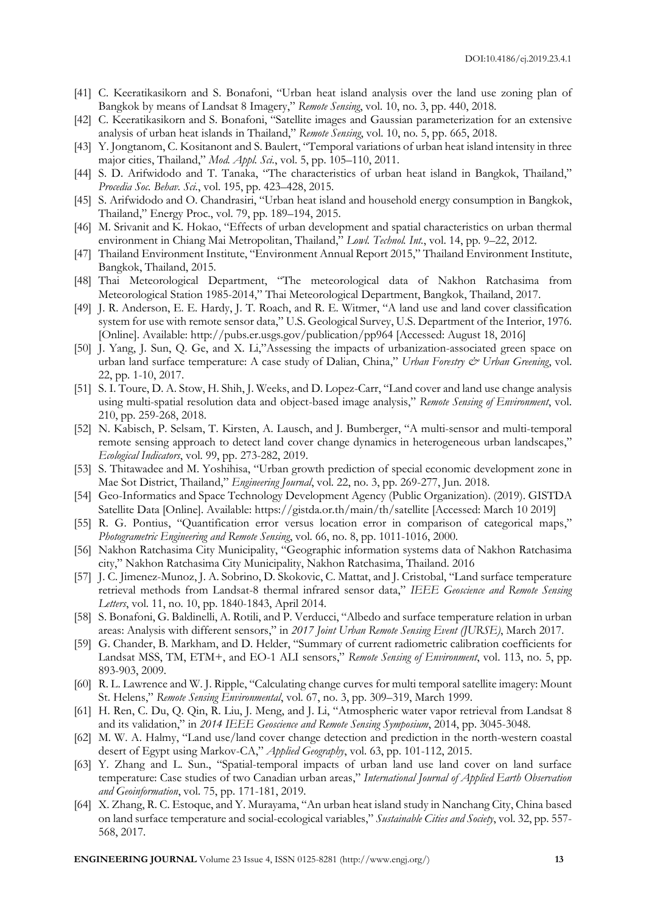- [41] C. Keeratikasikorn and S. Bonafoni, "Urban heat island analysis over the land use zoning plan of Bangkok by means of Landsat 8 Imagery," *Remote Sensing*, vol. 10, no. 3, pp. 440, 2018.
- [42] C. Keeratikasikorn and S. Bonafoni, "Satellite images and Gaussian parameterization for an extensive analysis of urban heat islands in Thailand," *Remote Sensing*, vol. 10, no. 5, pp. 665, 2018.
- [43] Y. Jongtanom, C. Kositanont and S. Baulert, "Temporal variations of urban heat island intensity in three major cities, Thailand," *Mod. Appl. Sci.*, vol. 5, pp. 105–110, 2011.
- [44] S. D. Arifwidodo and T. Tanaka, "The characteristics of urban heat island in Bangkok, Thailand," *Procedia Soc. Behav. Sci.*, vol. 195, pp. 423–428, 2015.
- [45] S. Arifwidodo and O. Chandrasiri, "Urban heat island and household energy consumption in Bangkok, Thailand," Energy Proc., vol. 79, pp. 189–194, 2015.
- [46] M. Srivanit and K. Hokao, "Effects of urban development and spatial characteristics on urban thermal environment in Chiang Mai Metropolitan, Thailand," *Lowl. Technol. Int.*, vol. 14, pp. 9–22, 2012.
- [47] Thailand Environment Institute, "Environment Annual Report 2015," Thailand Environment Institute, Bangkok, Thailand, 2015.
- [48] Thai Meteorological Department, "The meteorological data of Nakhon Ratchasima from Meteorological Station 1985-2014," Thai Meteorological Department, Bangkok, Thailand, 2017.
- [49] J. R. Anderson, E. E. Hardy, J. T. Roach, and R. E. Witmer, "A land use and land cover classification system for use with remote sensor data," U.S. Geological Survey, U.S. Department of the Interior, 1976. [Online]. Available: http://pubs.er.usgs.gov/publication/pp964 [Accessed: August 18, 2016]
- [50] J. Yang, J. Sun, Q. Ge, and X. Li,"Assessing the impacts of urbanization-associated green space on urban land surface temperature: A case study of Dalian, China," *Urban Forestry & Urban Greening*, vol. 22, pp. 1-10, 2017.
- [51] S. I. Toure, D. A. Stow, H. Shih, J. Weeks, and D. Lopez-Carr, "Land cover and land use change analysis using multi-spatial resolution data and object-based image analysis," *Remote Sensing of Environment*, vol. 210, pp. 259-268, 2018.
- [52] N. Kabisch, P. Selsam, T. Kirsten, A. Lausch, and J. Bumberger, "A multi-sensor and multi-temporal remote sensing approach to detect land cover change dynamics in heterogeneous urban landscapes," *Ecological Indicators*, vol. 99, pp. 273-282, 2019.
- [53] S. Thitawadee and M. Yoshihisa, "Urban growth prediction of special economic development zone in Mae Sot District, Thailand," *Engineering Journal*, vol. 22, no. 3, pp. 269-277, Jun. 2018.
- [54] Geo-Informatics and Space Technology Development Agency (Public Organization). (2019). GISTDA Satellite Data [Online]. Available: https://gistda.or.th/main/th/satellite [Accessed: March 10 2019]
- [55] R. G. Pontius, "Quantification error versus location error in comparison of categorical maps," *Photogrametric Engineering and Remote Sensing*, vol. 66, no. 8, pp. 1011-1016, 2000.
- [56] Nakhon Ratchasima City Municipality, "Geographic information systems data of Nakhon Ratchasima city," Nakhon Ratchasima City Municipality, Nakhon Ratchasima, Thailand. 2016
- [57] J. C. Jimenez-Munoz, J. A. Sobrino, D. Skokovic, C. Mattat, and J. Cristobal, "Land surface temperature retrieval methods from Landsat-8 thermal infrared sensor data," *IEEE Geoscience and Remote Sensing Letters*, vol. 11, no. 10, pp. 1840-1843, April 2014.
- [58] S. Bonafoni, G. Baldinelli, A. Rotili, and P. Verducci, "Albedo and surface temperature relation in urban areas: Analysis with different sensors," in *2017 Joint Urban Remote Sensing Event (JURSE)*, March 2017.
- [59] G. Chander, B. Markham, and D. Helder, "Summary of current radiometric calibration coefficients for Landsat MSS, TM, ETM+, and EO-1 ALI sensors," *Remote Sensing of Environment*, vol. 113, no. 5, pp. 893-903, 2009.
- [60] R. L. Lawrence and W. J. Ripple, "Calculating change curves for multi temporal satellite imagery: Mount St. Helens," *Remote Sensing Environmental*, vol. 67, no. 3, pp. 309–319, March 1999.
- [61] H. Ren, C. Du, Q. Qin, R. Liu, J. Meng, and J. Li, "Atmospheric water vapor retrieval from Landsat 8 and its validation," in *2014 IEEE Geoscience and Remote Sensing Symposium*, 2014, pp. 3045-3048.
- [62] M. W. A. Halmy, "Land use/land cover change detection and prediction in the north-western coastal desert of Egypt using Markov-CA," *Applied Geography*, vol. 63, pp. 101-112, 2015.
- [63] Y. Zhang and L. Sun., "Spatial-temporal impacts of urban land use land cover on land surface temperature: Case studies of two Canadian urban areas," *International Journal of Applied Earth Observation and Geoinformation*, vol. 75, pp. 171-181, 2019.
- [64] X. Zhang, R. C. Estoque, and Y. Murayama, "An urban heat island study in Nanchang City, China based on land surface temperature and social-ecological variables," *Sustainable Cities and Society*, vol. 32, pp. 557- 568, 2017.

**ENGINEERING JOURNAL** Volume 23 Issue 4, ISSN 0125-8281 (http://www.engj.org/) **13**